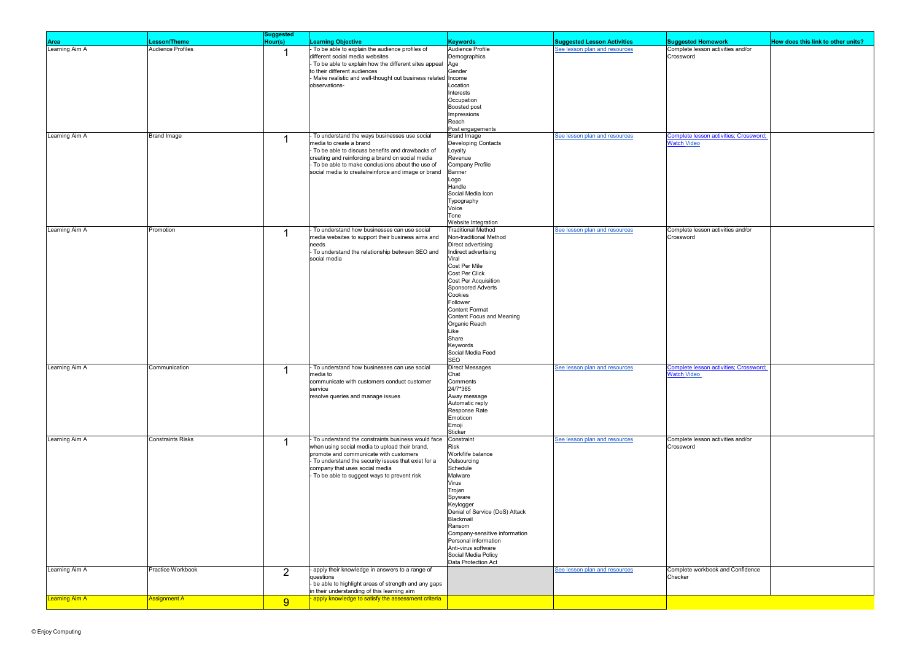|                               |                          | <b>Suggested</b> |                                                                                                       |                                           |                                    |                                                                    |                                    |
|-------------------------------|--------------------------|------------------|-------------------------------------------------------------------------------------------------------|-------------------------------------------|------------------------------------|--------------------------------------------------------------------|------------------------------------|
|                               | .esson/Theme             | Hour(s)          | <b>Learning Objective</b>                                                                             | <b>Keywords</b>                           | <b>Suggested Lesson Activities</b> | <b>Suggested Homework</b>                                          | How does this link to other units? |
| <b>Area</b><br>Learning Aim A | <b>Audience Profiles</b> |                  | - To be able to explain the audience profiles of                                                      | Audience Profile                          | See lesson plan and resources      | Complete lesson activities and/or                                  |                                    |
|                               |                          | 1                | different social media websites                                                                       | Demographics                              |                                    | Crossword                                                          |                                    |
|                               |                          |                  |                                                                                                       |                                           |                                    |                                                                    |                                    |
|                               |                          |                  | - To be able to explain how the different sites appeal<br>to their different audiences                | Age<br>Gender                             |                                    |                                                                    |                                    |
|                               |                          |                  |                                                                                                       |                                           |                                    |                                                                    |                                    |
|                               |                          |                  | - Make realistic and well-thought out business related Income                                         | Location                                  |                                    |                                                                    |                                    |
|                               |                          |                  | observations-                                                                                         | Interests                                 |                                    |                                                                    |                                    |
|                               |                          |                  |                                                                                                       |                                           |                                    |                                                                    |                                    |
|                               |                          |                  |                                                                                                       | Occupation                                |                                    |                                                                    |                                    |
|                               |                          |                  |                                                                                                       | Boosted post                              |                                    |                                                                    |                                    |
|                               |                          |                  |                                                                                                       | Impressions<br>Reach                      |                                    |                                                                    |                                    |
|                               |                          |                  |                                                                                                       |                                           |                                    |                                                                    |                                    |
|                               |                          |                  |                                                                                                       | Post engagements                          |                                    |                                                                    |                                    |
| Learning Aim A                | <b>Brand Image</b>       | $\mathbf{1}$     | To understand the ways businesses use social<br>media to create a brand                               | <b>Brand Image</b><br>Developing Contacts | See lesson plan and resources      | <b>Complete lesson activities; Crossword</b><br><b>Watch Video</b> |                                    |
|                               |                          |                  | - To be able to discuss benefits and drawbacks of                                                     |                                           |                                    |                                                                    |                                    |
|                               |                          |                  |                                                                                                       | Loyalty                                   |                                    |                                                                    |                                    |
|                               |                          |                  | creating and reinforcing a brand on social media<br>- To be able to make conclusions about the use of | Revenue                                   |                                    |                                                                    |                                    |
|                               |                          |                  |                                                                                                       | Company Profile                           |                                    |                                                                    |                                    |
|                               |                          |                  | social media to create/reinforce and image or brand                                                   | Banner                                    |                                    |                                                                    |                                    |
|                               |                          |                  |                                                                                                       | Logo<br>Handle                            |                                    |                                                                    |                                    |
|                               |                          |                  |                                                                                                       |                                           |                                    |                                                                    |                                    |
|                               |                          |                  |                                                                                                       | Social Media Icon                         |                                    |                                                                    |                                    |
|                               |                          |                  |                                                                                                       | Typography                                |                                    |                                                                    |                                    |
|                               |                          |                  |                                                                                                       | Voice                                     |                                    |                                                                    |                                    |
|                               |                          |                  |                                                                                                       | Tone                                      |                                    |                                                                    |                                    |
|                               |                          |                  |                                                                                                       | Website Integration                       |                                    |                                                                    |                                    |
| Learning Aim A                | Promotion                | 1                | - To understand how businesses can use social                                                         | <b>Traditional Method</b>                 | See lesson plan and resources      | Complete lesson activities and/or                                  |                                    |
|                               |                          |                  | media websites to support their business aims and                                                     | Non-traditional Method                    |                                    | Crossword                                                          |                                    |
|                               |                          |                  | needs                                                                                                 | Direct advertising                        |                                    |                                                                    |                                    |
|                               |                          |                  | - To understand the relationship between SEO and                                                      | Indirect advertising                      |                                    |                                                                    |                                    |
|                               |                          |                  | social media                                                                                          | Viral                                     |                                    |                                                                    |                                    |
|                               |                          |                  |                                                                                                       | Cost Per Mile                             |                                    |                                                                    |                                    |
|                               |                          |                  |                                                                                                       | Cost Per Click                            |                                    |                                                                    |                                    |
|                               |                          |                  |                                                                                                       | Cost Per Acquisition                      |                                    |                                                                    |                                    |
|                               |                          |                  |                                                                                                       | Sponsored Adverts                         |                                    |                                                                    |                                    |
|                               |                          |                  |                                                                                                       | Cookies                                   |                                    |                                                                    |                                    |
|                               |                          |                  |                                                                                                       | Follower                                  |                                    |                                                                    |                                    |
|                               |                          |                  |                                                                                                       | <b>Content Format</b>                     |                                    |                                                                    |                                    |
|                               |                          |                  |                                                                                                       | Content Focus and Meaning                 |                                    |                                                                    |                                    |
|                               |                          |                  |                                                                                                       | Organic Reach                             |                                    |                                                                    |                                    |
|                               |                          |                  |                                                                                                       | Like                                      |                                    |                                                                    |                                    |
|                               |                          |                  |                                                                                                       | Share                                     |                                    |                                                                    |                                    |
|                               |                          |                  |                                                                                                       | Keywords                                  |                                    |                                                                    |                                    |
|                               |                          |                  |                                                                                                       | Social Media Feed                         |                                    |                                                                    |                                    |
|                               |                          |                  |                                                                                                       | <b>SEO</b>                                |                                    |                                                                    |                                    |
| Learning Aim A                | Communication            | -1               | - To understand how businesses can use social                                                         | <b>Direct Messages</b>                    | See lesson plan and resources      | Complete lesson activities; Crossword;                             |                                    |
|                               |                          |                  | media to                                                                                              | Chat                                      |                                    | <b>Watch Video</b>                                                 |                                    |
|                               |                          |                  | communicate with customers conduct customer                                                           | Comments                                  |                                    |                                                                    |                                    |
|                               |                          |                  | service                                                                                               | 24/7*365                                  |                                    |                                                                    |                                    |
|                               |                          |                  | resolve queries and manage issues                                                                     | Away message                              |                                    |                                                                    |                                    |
|                               |                          |                  |                                                                                                       | Automatic reply                           |                                    |                                                                    |                                    |
|                               |                          |                  |                                                                                                       | Response Rate                             |                                    |                                                                    |                                    |
|                               |                          |                  |                                                                                                       | Emoticon                                  |                                    |                                                                    |                                    |
|                               |                          |                  |                                                                                                       | Emoji                                     |                                    |                                                                    |                                    |
|                               |                          |                  |                                                                                                       | Sticker                                   |                                    |                                                                    |                                    |
| Learning Aim A                | <b>Constraints Risks</b> | -1               | - To understand the constraints business would face                                                   | Constraint                                | See lesson plan and resources      | Complete lesson activities and/or                                  |                                    |
|                               |                          |                  | when using social media to upload their brand,                                                        | Risk                                      |                                    | Crossword                                                          |                                    |
|                               |                          |                  | promote and communicate with customers                                                                | Work/life balance                         |                                    |                                                                    |                                    |
|                               |                          |                  | - To understand the security issues that exist for a                                                  | Outsourcing                               |                                    |                                                                    |                                    |
|                               |                          |                  | company that uses social media                                                                        | Schedule                                  |                                    |                                                                    |                                    |
|                               |                          |                  | - To be able to suggest ways to prevent risk                                                          | Malware                                   |                                    |                                                                    |                                    |
|                               |                          |                  |                                                                                                       | Virus                                     |                                    |                                                                    |                                    |
|                               |                          |                  |                                                                                                       | Trojan                                    |                                    |                                                                    |                                    |
|                               |                          |                  |                                                                                                       | Spyware                                   |                                    |                                                                    |                                    |
|                               |                          |                  |                                                                                                       | Keylogger                                 |                                    |                                                                    |                                    |
|                               |                          |                  |                                                                                                       | Denial of Service (DoS) Attack            |                                    |                                                                    |                                    |
|                               |                          |                  |                                                                                                       | llackmail                                 |                                    |                                                                    |                                    |
|                               |                          |                  |                                                                                                       | Ransom                                    |                                    |                                                                    |                                    |
|                               |                          |                  |                                                                                                       | Company-sensitive information             |                                    |                                                                    |                                    |
|                               |                          |                  |                                                                                                       | Personal information                      |                                    |                                                                    |                                    |
|                               |                          |                  |                                                                                                       | Anti-virus software                       |                                    |                                                                    |                                    |
|                               |                          |                  |                                                                                                       | Social Media Policy                       |                                    |                                                                    |                                    |
|                               |                          |                  |                                                                                                       | Data Protection Act                       |                                    |                                                                    |                                    |
| Learning Aim A                | Practice Workbook        | $\overline{2}$   | - apply their knowledge in answers to a range of                                                      |                                           | See lesson plan and resources      | Complete workbook and Confidence                                   |                                    |
|                               |                          |                  | questions                                                                                             |                                           |                                    | Checker                                                            |                                    |
|                               |                          |                  | - be able to highlight areas of strength and any gaps                                                 |                                           |                                    |                                                                    |                                    |
|                               |                          |                  | in their understanding of this learning aim                                                           |                                           |                                    |                                                                    |                                    |
| <b>Learning Aim A</b>         | <b>Assignment A</b>      | 9                | apply knowledge to satisfy the assessment criteria                                                    |                                           |                                    |                                                                    |                                    |
|                               |                          |                  |                                                                                                       |                                           |                                    |                                                                    |                                    |